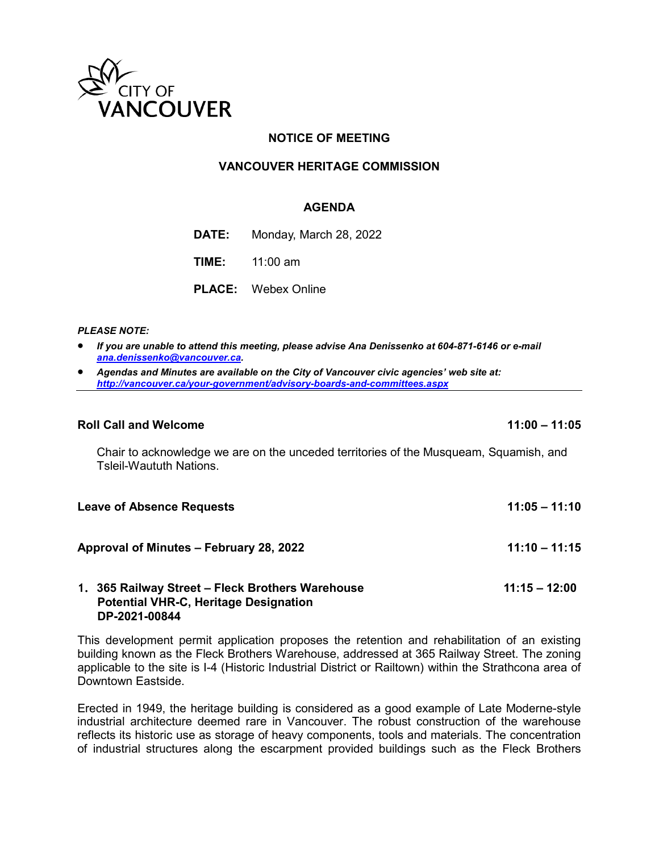

# **NOTICE OF MEETING**

# **VANCOUVER HERITAGE COMMISSION**

### **AGENDA**

**DATE:** Monday, March 28, 2022

**TIME:** 11:00 am

**PLACE:** Webex Online

### *PLEASE NOTE:*

- *If you are unable to attend this meeting, please advise Ana Denissenko at 604-871-6146 or e-mail [ana.denissenko@vancouver.ca.](mailto:ana.denissenko@vancouver.ca)*
- *Agendas and Minutes are available on the City of Vancouver civic agencies' web site at: <http://vancouver.ca/your-government/advisory-boards-and-committees.aspx>*

#### **Roll Call and Welcome 11:00 – 11:05**

Chair to acknowledge we are on the unceded territories of the Musqueam, Squamish, and Tsleil-Waututh Nations.

| <b>Leave of Absence Requests</b>                 | $11:05 - 11:10$ |
|--------------------------------------------------|-----------------|
| Approval of Minutes – February 28, 2022          | $11:10 - 11:15$ |
| 1. 365 Railway Street – Fleck Brothers Warehouse | $11:15 - 12:00$ |

### **Potential VHR-C, Heritage Designation DP-2021-00844**

This development permit application proposes the retention and rehabilitation of an existing building known as the Fleck Brothers Warehouse, addressed at 365 Railway Street. The zoning applicable to the site is I-4 (Historic Industrial District or Railtown) within the Strathcona area of Downtown Eastside.

Erected in 1949, the heritage building is considered as a good example of Late Moderne-style industrial architecture deemed rare in Vancouver. The robust construction of the warehouse reflects its historic use as storage of heavy components, tools and materials. The concentration of industrial structures along the escarpment provided buildings such as the Fleck Brothers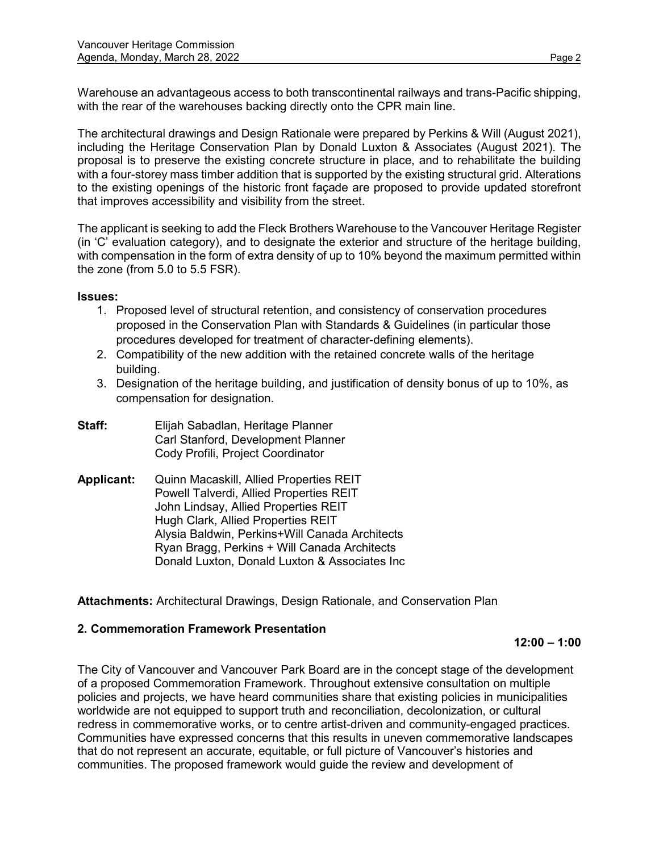Warehouse an advantageous access to both transcontinental railways and trans-Pacific shipping, with the rear of the warehouses backing directly onto the CPR main line.

The architectural drawings and Design Rationale were prepared by Perkins & Will (August 2021), including the Heritage Conservation Plan by Donald Luxton & Associates (August 2021). The proposal is to preserve the existing concrete structure in place, and to rehabilitate the building with a four-storey mass timber addition that is supported by the existing structural grid. Alterations to the existing openings of the historic front façade are proposed to provide updated storefront that improves accessibility and visibility from the street.

The applicant is seeking to add the Fleck Brothers Warehouse to the Vancouver Heritage Register (in 'C' evaluation category), and to designate the exterior and structure of the heritage building, with compensation in the form of extra density of up to 10% beyond the maximum permitted within the zone (from 5.0 to 5.5 FSR).

### **Issues:**

- 1. Proposed level of structural retention, and consistency of conservation procedures proposed in the Conservation Plan with Standards & Guidelines (in particular those procedures developed for treatment of character-defining elements).
- 2. Compatibility of the new addition with the retained concrete walls of the heritage building.
- 3. Designation of the heritage building, and justification of density bonus of up to 10%, as compensation for designation.
- **Staff:** Elijah Sabadlan, Heritage Planner Carl Stanford, Development Planner Cody Profili, Project Coordinator
- **Applicant:** Quinn Macaskill, Allied Properties REIT Powell Talverdi, Allied Properties REIT John Lindsay, Allied Properties REIT Hugh Clark, Allied Properties REIT Alysia Baldwin, Perkins+Will Canada Architects Ryan Bragg, Perkins + Will Canada Architects Donald Luxton, Donald Luxton & Associates Inc

**Attachments:** Architectural Drawings, Design Rationale, and Conservation Plan

# **2. Commemoration Framework Presentation**

**12:00 – 1:00** 

The City of Vancouver and Vancouver Park Board are in the concept stage of the development of a proposed Commemoration Framework. Throughout extensive consultation on multiple policies and projects, we have heard communities share that existing policies in municipalities worldwide are not equipped to support truth and reconciliation, decolonization, or cultural redress in commemorative works, or to centre artist-driven and community-engaged practices. Communities have expressed concerns that this results in uneven commemorative landscapes that do not represent an accurate, equitable, or full picture of Vancouver's histories and communities. The proposed framework would guide the review and development of